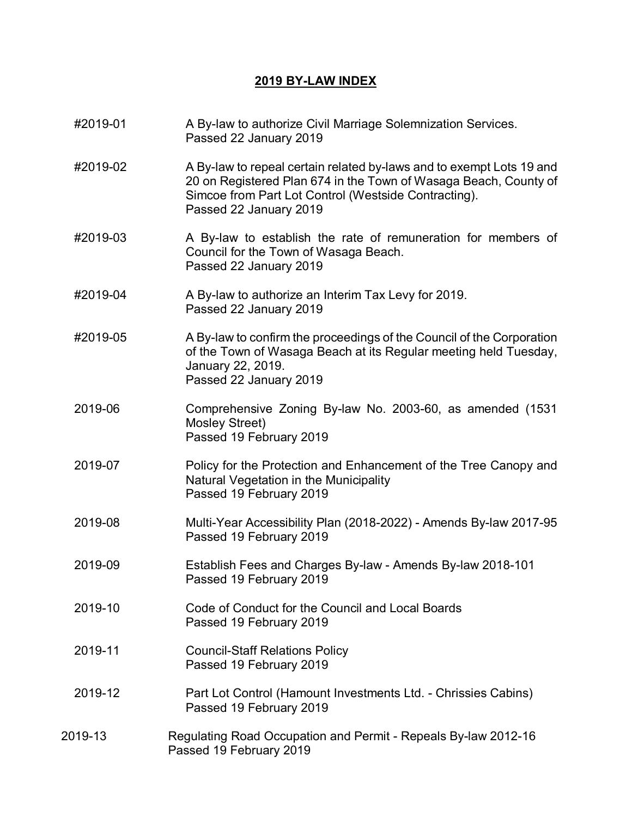## **2019 BY-LAW INDEX**

- #2019-01 A By-law to authorize Civil Marriage Solemnization Services. Passed 22 January 2019
- #2019-02 A By-law to repeal certain related by-laws and to exempt Lots 19 and 20 on Registered Plan 674 in the Town of Wasaga Beach, County of Simcoe from Part Lot Control (Westside Contracting). Passed 22 January 2019
- #2019-03 A By-law to establish the rate of remuneration for members of Council for the Town of Wasaga Beach. Passed 22 January 2019
- #2019-04 A By-law to authorize an Interim Tax Levy for 2019. Passed 22 January 2019
- #2019-05 A By-law to confirm the proceedings of the Council of the Corporation of the Town of Wasaga Beach at its Regular meeting held Tuesday, January 22, 2019. Passed 22 January 2019
- 2019-06 Comprehensive Zoning By-law No. 2003-60, as amended (1531 Mosley Street) Passed 19 February 2019
- 2019-07 Policy for the Protection and Enhancement of the Tree Canopy and Natural Vegetation in the Municipality Passed 19 February 2019
- 2019-08 Multi-Year Accessibility Plan (2018-2022) Amends By-law 2017-95 Passed 19 February 2019
- 2019-09 Establish Fees and Charges By-law Amends By-law 2018-101 Passed 19 February 2019
- 2019-10 Code of Conduct for the Council and Local Boards Passed 19 February 2019
- 2019-11 Council-Staff Relations Policy Passed 19 February 2019
- 2019-12 Part Lot Control (Hamount Investments Ltd. Chrissies Cabins) Passed 19 February 2019
- 2019-13 Regulating Road Occupation and Permit Repeals By-law 2012-16 Passed 19 February 2019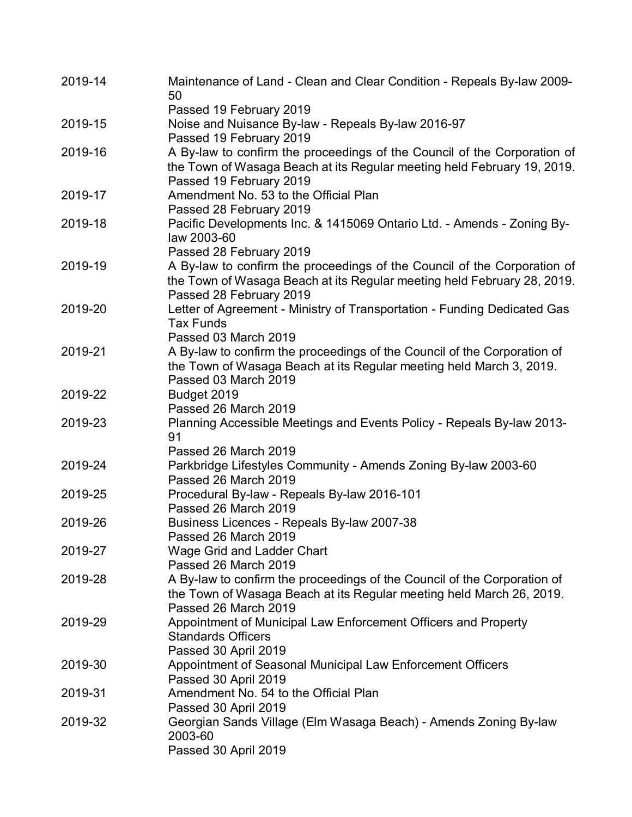| 2019-14 | Maintenance of Land - Clean and Clear Condition - Repeals By-law 2009-<br>50                                                                                                   |
|---------|--------------------------------------------------------------------------------------------------------------------------------------------------------------------------------|
|         | Passed 19 February 2019                                                                                                                                                        |
| 2019-15 | Noise and Nuisance By-law - Repeals By-law 2016-97<br>Passed 19 February 2019                                                                                                  |
| 2019-16 | A By-law to confirm the proceedings of the Council of the Corporation of<br>the Town of Wasaga Beach at its Regular meeting held February 19, 2019.<br>Passed 19 February 2019 |
| 2019-17 | Amendment No. 53 to the Official Plan<br>Passed 28 February 2019                                                                                                               |
| 2019-18 | Pacific Developments Inc. & 1415069 Ontario Ltd. - Amends - Zoning By-<br>law 2003-60<br>Passed 28 February 2019                                                               |
| 2019-19 | A By-law to confirm the proceedings of the Council of the Corporation of<br>the Town of Wasaga Beach at its Regular meeting held February 28, 2019.<br>Passed 28 February 2019 |
| 2019-20 | Letter of Agreement - Ministry of Transportation - Funding Dedicated Gas<br><b>Tax Funds</b><br>Passed 03 March 2019                                                           |
| 2019-21 | A By-law to confirm the proceedings of the Council of the Corporation of<br>the Town of Wasaga Beach at its Regular meeting held March 3, 2019.<br>Passed 03 March 2019        |
| 2019-22 | Budget 2019<br>Passed 26 March 2019                                                                                                                                            |
| 2019-23 | Planning Accessible Meetings and Events Policy - Repeals By-law 2013-<br>91                                                                                                    |
| 2019-24 | Passed 26 March 2019<br>Parkbridge Lifestyles Community - Amends Zoning By-law 2003-60<br>Passed 26 March 2019                                                                 |
| 2019-25 | Procedural By-law - Repeals By-law 2016-101<br>Passed 26 March 2019                                                                                                            |
| 2019-26 | Business Licences - Repeals By-law 2007-38<br>Passed 26 March 2019                                                                                                             |
| 2019-27 | Wage Grid and Ladder Chart<br>Passed 26 March 2019                                                                                                                             |
| 2019-28 | A By-law to confirm the proceedings of the Council of the Corporation of<br>the Town of Wasaga Beach at its Regular meeting held March 26, 2019.<br>Passed 26 March 2019       |
| 2019-29 | Appointment of Municipal Law Enforcement Officers and Property<br><b>Standards Officers</b><br>Passed 30 April 2019                                                            |
| 2019-30 | Appointment of Seasonal Municipal Law Enforcement Officers<br>Passed 30 April 2019                                                                                             |
| 2019-31 | Amendment No. 54 to the Official Plan<br>Passed 30 April 2019                                                                                                                  |
| 2019-32 | Georgian Sands Village (Elm Wasaga Beach) - Amends Zoning By-law<br>2003-60<br>Passed 30 April 2019                                                                            |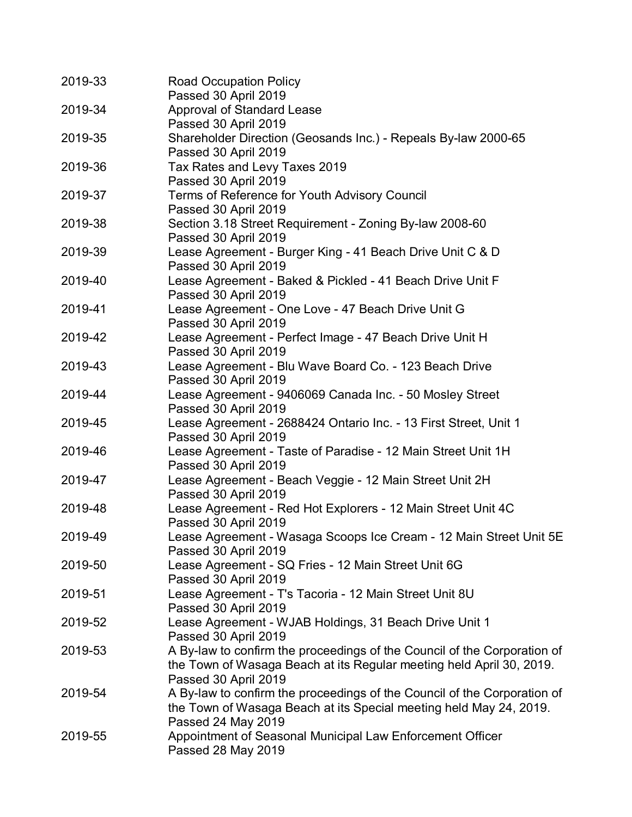| 2019-33 | <b>Road Occupation Policy</b>                                            |
|---------|--------------------------------------------------------------------------|
|         | Passed 30 April 2019                                                     |
| 2019-34 | <b>Approval of Standard Lease</b>                                        |
|         | Passed 30 April 2019                                                     |
| 2019-35 | Shareholder Direction (Geosands Inc.) - Repeals By-law 2000-65           |
|         | Passed 30 April 2019                                                     |
| 2019-36 | Tax Rates and Levy Taxes 2019                                            |
|         | Passed 30 April 2019                                                     |
| 2019-37 | Terms of Reference for Youth Advisory Council                            |
|         | Passed 30 April 2019                                                     |
| 2019-38 | Section 3.18 Street Requirement - Zoning By-law 2008-60                  |
|         | Passed 30 April 2019                                                     |
| 2019-39 | Lease Agreement - Burger King - 41 Beach Drive Unit C & D                |
|         | Passed 30 April 2019                                                     |
| 2019-40 | Lease Agreement - Baked & Pickled - 41 Beach Drive Unit F                |
|         | Passed 30 April 2019                                                     |
| 2019-41 | Lease Agreement - One Love - 47 Beach Drive Unit G                       |
|         | Passed 30 April 2019                                                     |
| 2019-42 | Lease Agreement - Perfect Image - 47 Beach Drive Unit H                  |
|         | Passed 30 April 2019                                                     |
| 2019-43 | Lease Agreement - Blu Wave Board Co. - 123 Beach Drive                   |
|         | Passed 30 April 2019                                                     |
| 2019-44 | Lease Agreement - 9406069 Canada Inc. - 50 Mosley Street                 |
|         | Passed 30 April 2019                                                     |
| 2019-45 | Lease Agreement - 2688424 Ontario Inc. - 13 First Street, Unit 1         |
|         | Passed 30 April 2019                                                     |
| 2019-46 | Lease Agreement - Taste of Paradise - 12 Main Street Unit 1H             |
|         | Passed 30 April 2019                                                     |
| 2019-47 | Lease Agreement - Beach Veggie - 12 Main Street Unit 2H                  |
|         | Passed 30 April 2019                                                     |
| 2019-48 | Lease Agreement - Red Hot Explorers - 12 Main Street Unit 4C             |
|         | Passed 30 April 2019                                                     |
| 2019-49 |                                                                          |
|         | Lease Agreement - Wasaga Scoops Ice Cream - 12 Main Street Unit 5E       |
|         | Passed 30 April 2019                                                     |
| 2019-50 | Lease Agreement - SQ Fries - 12 Main Street Unit 6G                      |
|         | Passed 30 April 2019                                                     |
| 2019-51 | Lease Agreement - T's Tacoria - 12 Main Street Unit 8U                   |
|         | Passed 30 April 2019                                                     |
| 2019-52 | Lease Agreement - WJAB Holdings, 31 Beach Drive Unit 1                   |
|         | Passed 30 April 2019                                                     |
| 2019-53 | A By-law to confirm the proceedings of the Council of the Corporation of |
|         | the Town of Wasaga Beach at its Regular meeting held April 30, 2019.     |
|         | Passed 30 April 2019                                                     |
| 2019-54 | A By-law to confirm the proceedings of the Council of the Corporation of |
|         | the Town of Wasaga Beach at its Special meeting held May 24, 2019.       |
|         | Passed 24 May 2019                                                       |
| 2019-55 | Appointment of Seasonal Municipal Law Enforcement Officer                |
|         | Passed 28 May 2019                                                       |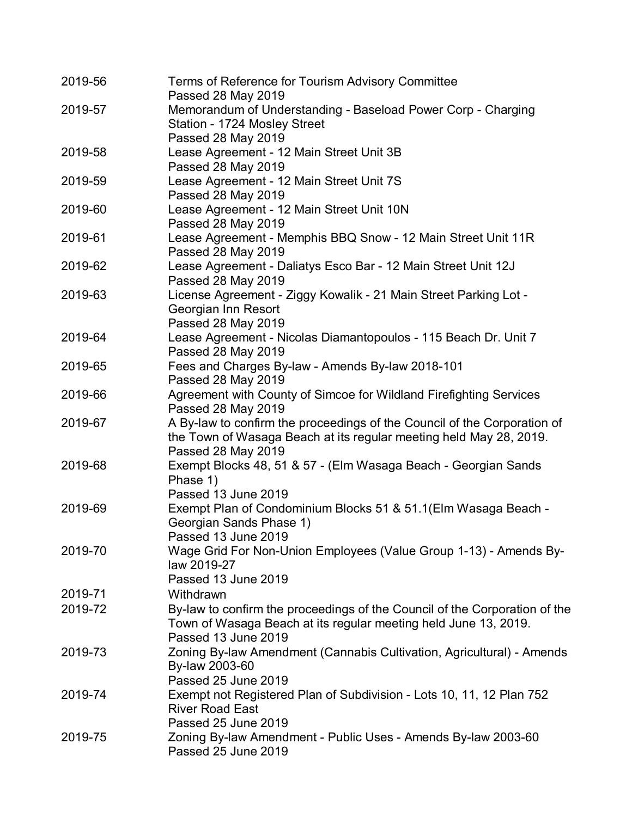| 2019-56 | Terms of Reference for Tourism Advisory Committee<br>Passed 28 May 2019                                                                                              |
|---------|----------------------------------------------------------------------------------------------------------------------------------------------------------------------|
| 2019-57 | Memorandum of Understanding - Baseload Power Corp - Charging<br>Station - 1724 Mosley Street                                                                         |
| 2019-58 | Passed 28 May 2019<br>Lease Agreement - 12 Main Street Unit 3B<br>Passed 28 May 2019                                                                                 |
| 2019-59 | Lease Agreement - 12 Main Street Unit 7S<br>Passed 28 May 2019                                                                                                       |
| 2019-60 | Lease Agreement - 12 Main Street Unit 10N<br>Passed 28 May 2019                                                                                                      |
| 2019-61 | Lease Agreement - Memphis BBQ Snow - 12 Main Street Unit 11R<br>Passed 28 May 2019                                                                                   |
| 2019-62 | Lease Agreement - Daliatys Esco Bar - 12 Main Street Unit 12J<br>Passed 28 May 2019                                                                                  |
| 2019-63 | License Agreement - Ziggy Kowalik - 21 Main Street Parking Lot -<br>Georgian Inn Resort<br>Passed 28 May 2019                                                        |
| 2019-64 | Lease Agreement - Nicolas Diamantopoulos - 115 Beach Dr. Unit 7<br>Passed 28 May 2019                                                                                |
| 2019-65 | Fees and Charges By-law - Amends By-law 2018-101<br>Passed 28 May 2019                                                                                               |
| 2019-66 | Agreement with County of Simcoe for Wildland Firefighting Services<br>Passed 28 May 2019                                                                             |
| 2019-67 | A By-law to confirm the proceedings of the Council of the Corporation of<br>the Town of Wasaga Beach at its regular meeting held May 28, 2019.<br>Passed 28 May 2019 |
| 2019-68 | Exempt Blocks 48, 51 & 57 - (Elm Wasaga Beach - Georgian Sands<br>Phase 1)<br>Passed 13 June 2019                                                                    |
| 2019-69 | Exempt Plan of Condominium Blocks 51 & 51.1(Elm Wasaga Beach -<br>Georgian Sands Phase 1)<br>Passed 13 June 2019                                                     |
| 2019-70 | Wage Grid For Non-Union Employees (Value Group 1-13) - Amends By-<br>law 2019-27<br>Passed 13 June 2019                                                              |
| 2019-71 | Withdrawn                                                                                                                                                            |
| 2019-72 | By-law to confirm the proceedings of the Council of the Corporation of the                                                                                           |
|         | Town of Wasaga Beach at its regular meeting held June 13, 2019.<br>Passed 13 June 2019                                                                               |
| 2019-73 | Zoning By-law Amendment (Cannabis Cultivation, Agricultural) - Amends<br>By-law 2003-60<br>Passed 25 June 2019                                                       |
| 2019-74 | Exempt not Registered Plan of Subdivision - Lots 10, 11, 12 Plan 752<br><b>River Road East</b><br>Passed 25 June 2019                                                |
| 2019-75 | Zoning By-law Amendment - Public Uses - Amends By-law 2003-60<br>Passed 25 June 2019                                                                                 |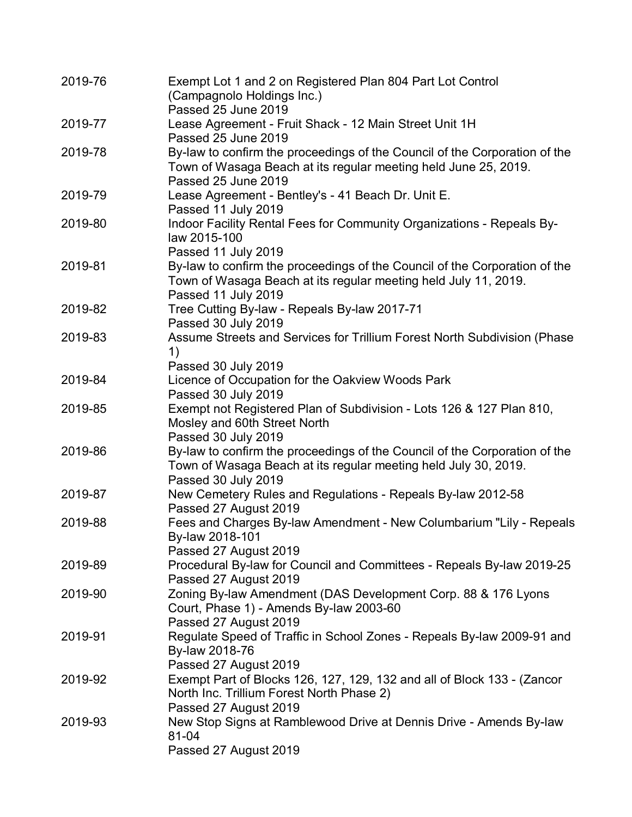| 2019-76 | Exempt Lot 1 and 2 on Registered Plan 804 Part Lot Control<br>(Campagnolo Holdings Inc.)<br>Passed 25 June 2019                                                      |
|---------|----------------------------------------------------------------------------------------------------------------------------------------------------------------------|
| 2019-77 | Lease Agreement - Fruit Shack - 12 Main Street Unit 1H<br>Passed 25 June 2019                                                                                        |
| 2019-78 | By-law to confirm the proceedings of the Council of the Corporation of the<br>Town of Wasaga Beach at its regular meeting held June 25, 2019.<br>Passed 25 June 2019 |
| 2019-79 | Lease Agreement - Bentley's - 41 Beach Dr. Unit E.<br>Passed 11 July 2019                                                                                            |
| 2019-80 | Indoor Facility Rental Fees for Community Organizations - Repeals By-<br>law 2015-100<br>Passed 11 July 2019                                                         |
| 2019-81 | By-law to confirm the proceedings of the Council of the Corporation of the<br>Town of Wasaga Beach at its regular meeting held July 11, 2019.<br>Passed 11 July 2019 |
| 2019-82 | Tree Cutting By-law - Repeals By-law 2017-71<br>Passed 30 July 2019                                                                                                  |
| 2019-83 | Assume Streets and Services for Trillium Forest North Subdivision (Phase<br>1)<br>Passed 30 July 2019                                                                |
| 2019-84 | Licence of Occupation for the Oakview Woods Park<br>Passed 30 July 2019                                                                                              |
| 2019-85 | Exempt not Registered Plan of Subdivision - Lots 126 & 127 Plan 810,<br>Mosley and 60th Street North<br>Passed 30 July 2019                                          |
| 2019-86 | By-law to confirm the proceedings of the Council of the Corporation of the<br>Town of Wasaga Beach at its regular meeting held July 30, 2019.<br>Passed 30 July 2019 |
| 2019-87 | New Cemetery Rules and Regulations - Repeals By-law 2012-58<br>Passed 27 August 2019                                                                                 |
| 2019-88 | Fees and Charges By-law Amendment - New Columbarium "Lily - Repeals<br>By-law 2018-101<br>Passed 27 August 2019                                                      |
| 2019-89 | Procedural By-law for Council and Committees - Repeals By-law 2019-25<br>Passed 27 August 2019                                                                       |
| 2019-90 | Zoning By-law Amendment (DAS Development Corp. 88 & 176 Lyons<br>Court, Phase 1) - Amends By-law 2003-60<br>Passed 27 August 2019                                    |
| 2019-91 | Regulate Speed of Traffic in School Zones - Repeals By-law 2009-91 and<br>By-law 2018-76<br>Passed 27 August 2019                                                    |
| 2019-92 | Exempt Part of Blocks 126, 127, 129, 132 and all of Block 133 - (Zancor<br>North Inc. Trillium Forest North Phase 2)<br>Passed 27 August 2019                        |
| 2019-93 | New Stop Signs at Ramblewood Drive at Dennis Drive - Amends By-law<br>81-04<br>Passed 27 August 2019                                                                 |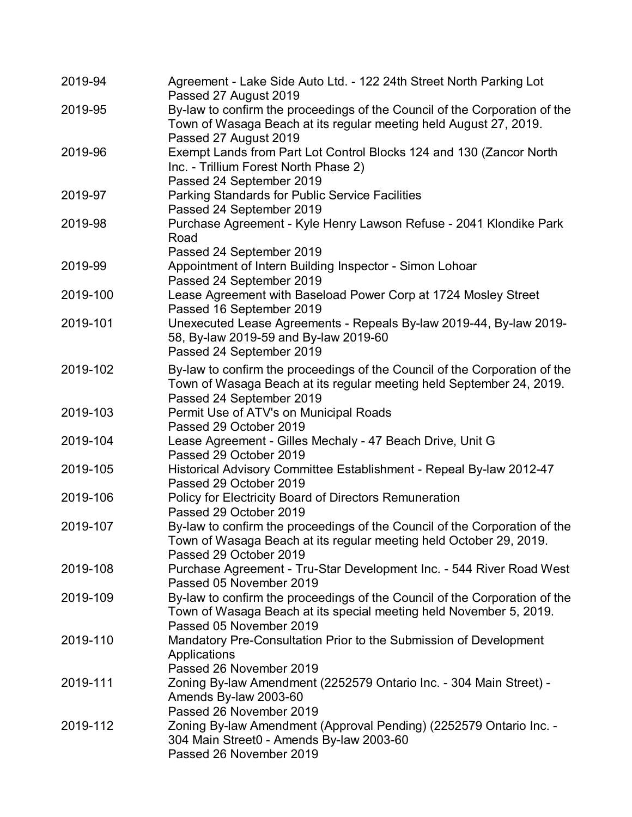| 2019-94  | Agreement - Lake Side Auto Ltd. - 122 24th Street North Parking Lot<br>Passed 27 August 2019                                                                                   |
|----------|--------------------------------------------------------------------------------------------------------------------------------------------------------------------------------|
| 2019-95  | By-law to confirm the proceedings of the Council of the Corporation of the<br>Town of Wasaga Beach at its regular meeting held August 27, 2019.<br>Passed 27 August 2019       |
| 2019-96  | Exempt Lands from Part Lot Control Blocks 124 and 130 (Zancor North<br>Inc. - Trillium Forest North Phase 2)<br>Passed 24 September 2019                                       |
| 2019-97  | Parking Standards for Public Service Facilities<br>Passed 24 September 2019                                                                                                    |
| 2019-98  | Purchase Agreement - Kyle Henry Lawson Refuse - 2041 Klondike Park<br>Road<br>Passed 24 September 2019                                                                         |
| 2019-99  | Appointment of Intern Building Inspector - Simon Lohoar<br>Passed 24 September 2019                                                                                            |
| 2019-100 | Lease Agreement with Baseload Power Corp at 1724 Mosley Street<br>Passed 16 September 2019                                                                                     |
| 2019-101 | Unexecuted Lease Agreements - Repeals By-law 2019-44, By-law 2019-<br>58, By-law 2019-59 and By-law 2019-60<br>Passed 24 September 2019                                        |
| 2019-102 | By-law to confirm the proceedings of the Council of the Corporation of the<br>Town of Wasaga Beach at its regular meeting held September 24, 2019.<br>Passed 24 September 2019 |
| 2019-103 | Permit Use of ATV's on Municipal Roads<br>Passed 29 October 2019                                                                                                               |
| 2019-104 | Lease Agreement - Gilles Mechaly - 47 Beach Drive, Unit G<br>Passed 29 October 2019                                                                                            |
| 2019-105 | Historical Advisory Committee Establishment - Repeal By-law 2012-47<br>Passed 29 October 2019                                                                                  |
| 2019-106 | Policy for Electricity Board of Directors Remuneration<br>Passed 29 October 2019                                                                                               |
| 2019-107 | By-law to confirm the proceedings of the Council of the Corporation of the<br>Town of Wasaga Beach at its regular meeting held October 29, 2019.<br>Passed 29 October 2019     |
| 2019-108 | Purchase Agreement - Tru-Star Development Inc. - 544 River Road West<br>Passed 05 November 2019                                                                                |
| 2019-109 | By-law to confirm the proceedings of the Council of the Corporation of the<br>Town of Wasaga Beach at its special meeting held November 5, 2019.<br>Passed 05 November 2019    |
| 2019-110 | Mandatory Pre-Consultation Prior to the Submission of Development<br>Applications<br>Passed 26 November 2019                                                                   |
| 2019-111 | Zoning By-law Amendment (2252579 Ontario Inc. - 304 Main Street) -<br>Amends By-law 2003-60<br>Passed 26 November 2019                                                         |
| 2019-112 | Zoning By-law Amendment (Approval Pending) (2252579 Ontario Inc. -<br>304 Main Street0 - Amends By-law 2003-60<br>Passed 26 November 2019                                      |